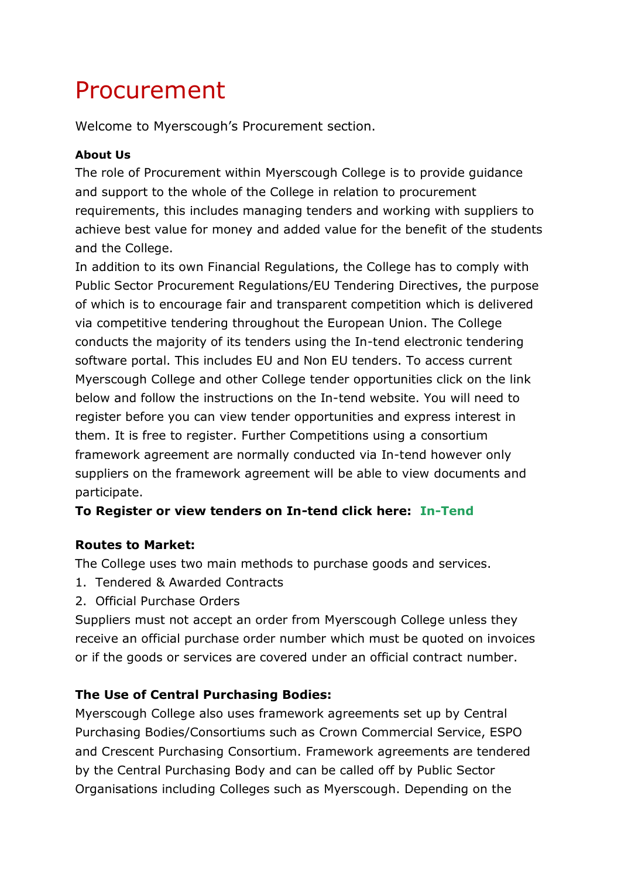# Procurement

Welcome to Myerscough's Procurement section.

#### **About Us**

The role of Procurement within Myerscough College is to provide guidance and support to the whole of the College in relation to procurement requirements, this includes managing tenders and working with suppliers to achieve best value for money and added value for the benefit of the students and the College.

In addition to its own Financial Regulations, the College has to comply with Public Sector Procurement Regulations/EU Tendering Directives, the purpose of which is to encourage fair and transparent competition which is delivered via competitive tendering throughout the European Union. The College conducts the majority of its tenders using the In-tend electronic tendering software portal. This includes EU and Non EU tenders. To access current Myerscough College and other College tender opportunities click on the link below and follow the instructions on the In-tend website. You will need to register before you can view tender opportunities and express interest in them. It is free to register. Further Competitions using a consortium framework agreement are normally conducted via In-tend however only suppliers on the framework agreement will be able to view documents and participate.

# **To Register or view tenders on In-tend click here: [In-Tend](https://in-tendhost.co.uk/fe/aspx/Home)**

# **Routes to Market:**

The College uses two main methods to purchase goods and services.

- 1. Tendered & Awarded Contracts
- 2. Official Purchase Orders

Suppliers must not accept an order from Myerscough College unless they receive an official purchase order number which must be quoted on invoices or if the goods or services are covered under an official contract number.

# **The Use of Central Purchasing Bodies:**

Myerscough College also uses framework agreements set up by Central Purchasing Bodies/Consortiums such as Crown Commercial Service, ESPO and Crescent Purchasing Consortium. Framework agreements are tendered by the Central Purchasing Body and can be called off by Public Sector Organisations including Colleges such as Myerscough. Depending on the